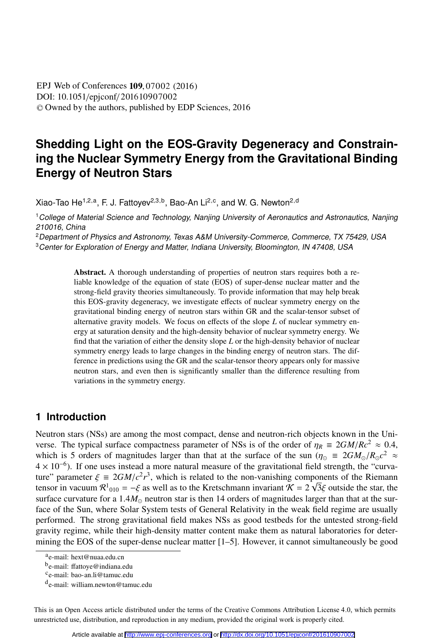DOI: 10.1051/epjconf/201610907002 © Owned by the authors, published by EDP Sciences, 2016 **EPJ** Web of Conferences **109**, 07002 (2016)

# **Shedding Light on the EOS-Gravity Degeneracy and Constraining the Nuclear Symmetry Energy from the Gravitational Binding Energy of Neutron Stars**

Xiao-Tao He<sup>1,2,a</sup>, F. J. Fattoyev<sup>2,3,b</sup>, Bao-An Li<sup>2,c</sup>, and W. G. Newton<sup>2,d</sup>

<sup>1</sup>College of Material Science and Technology, Nanjing University of Aeronautics and Astronautics, Nanjing 210016, China

<sup>2</sup>Department of Physics and Astronomy, Texas A&M University-Commerce, Commerce, TX 75429, USA

<sup>3</sup> Center for Exploration of Energy and Matter, Indiana University, Bloomington, IN 47408, USA

Abstract. A thorough understanding of properties of neutron stars requires both a reliable knowledge of the equation of state (EOS) of super-dense nuclear matter and the strong-field gravity theories simultaneously. To provide information that may help break this EOS-gravity degeneracy, we investigate effects of nuclear symmetry energy on the gravitational binding energy of neutron stars within GR and the scalar-tensor subset of alternative gravity models. We focus on effects of the slope *L* of nuclear symmetry energy at saturation density and the high-density behavior of nuclear symmetry energy. We find that the variation of either the density slope *L* or the high-density behavior of nuclear symmetry energy leads to large changes in the binding energy of neutron stars. The difference in predictions using the GR and the scalar-tensor theory appears only for massive neutron stars, and even then is significantly smaller than the difference resulting from variations in the symmetry energy.

#### **1 Introduction**

Neutron stars (NSs) are among the most compact, dense and neutron-rich objects known in the Universe. The typical surface compactness parameter of NSs is of the order of  $\eta_R \equiv 2GM/Rc^2 \approx 0.4$ , which is 5 orders of magnitudes larger than that at the surface of the sun ( $\eta_{\odot} \equiv 2GM_{\odot}/R_{\odot}c^2 \approx$ 4 × 10<sup>−</sup>6). If one uses instead a more natural measure of the gravitational field strength, the "curvature" parameter  $\xi = 2GM/c^2r^3$ , which is related to the non-vanishing components of the Riemann<br>tensor in vacuum  $\mathcal{R}^1_{\text{Q1Q}} = -\xi$  as well as to the Kretschmann invariant  $\mathcal{K} = 2\sqrt{3}\xi$  outside the star, the tensor in vacuum  $\mathcal{R}^1_{010} = -\xi$  as well as to the Kretschmann invariant  $\mathcal{K} = 2\sqrt{3}\xi$  outside the star, the surface curvature for a 1.4M, neutron star is then 14 orders of magnitudes larger than that at the sursurface curvature for a  $1.4M_{\odot}$  neutron star is then 14 orders of magnitudes larger than that at the surface of the Sun, where Solar System tests of General Relativity in the weak field regime are usually performed. The strong gravitational field makes NSs as good testbeds for the untested strong-field gravity regime, while their high-density matter content make them as natural laboratories for determining the EOS of the super-dense nuclear matter [1–5]. However, it cannot simultaneously be good

This is an Open Access article distributed under the terms of the Creative Commons Attribution License 4.0, which permits unrestricted use, distribution, and reproduction in any medium, provided the original work is properly cited.

ae-mail: hext@nuaa.edu.cn

b<sub>e-mail: ffattoye@indiana.edu ce-mail: bao-an.li@tamuc.edu</sub>

de-mail: william.newton@tamuc.edu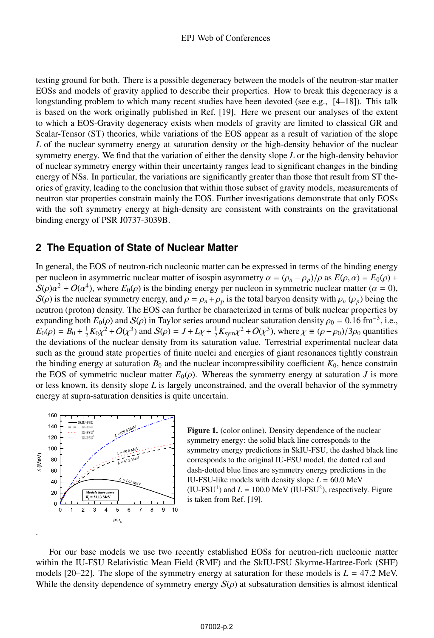testing ground for both. There is a possible degeneracy between the models of the neutron-star matter EOSs and models of gravity applied to describe their properties. How to break this degeneracy is a longstanding problem to which many recent studies have been devoted (see e.g., [4–18]). This talk is based on the work originally published in Ref. [19]. Here we present our analyses of the extent to which a EOS-Gravity degeneracy exists when models of gravity are limited to classical GR and Scalar-Tensor (ST) theories, while variations of the EOS appear as a result of variation of the slope *L* of the nuclear symmetry energy at saturation density or the high-density behavior of the nuclear symmetry energy. We find that the variation of either the density slope *L* or the high-density behavior of nuclear symmetry energy within their uncertainty ranges lead to significant changes in the binding energy of NSs. In particular, the variations are significantly greater than those that result from ST theories of gravity, leading to the conclusion that within those subset of gravity models, measurements of neutron star properties constrain mainly the EOS. Further investigations demonstrate that only EOSs with the soft symmetry energy at high-density are consistent with constraints on the gravitational binding energy of PSR J0737-3039B.

#### **2 The Equation of State of Nuclear Matter**

In general, the EOS of neutron-rich nucleonic matter can be expressed in terms of the binding energy per nucleon in asymmetric nuclear matter of isospin asymmetry  $\alpha = (\rho_n - \rho_n)/\rho$  as  $E(\rho, \alpha) = E_0(\rho) +$  $S(\rho)\alpha^2 + O(\alpha^4)$ , where  $E_0(\rho)$  is the binding energy per nucleon in symmetric nuclear matter ( $\alpha = 0$ ),  $S(\rho)$  is the nuclear symmetry energy, and  $\rho = \rho_n + \rho_p$  is the total baryon density with  $\rho_n$  ( $\rho_p$ ) being the neutron (proton) density. The EOS can further be characterized in terms of bulk nuclear properties by expanding both  $E_0(\rho)$  and  $S(\rho)$  in Taylor series around nuclear saturation density  $\rho_0 = 0.16$  fm<sup>-3</sup>, i.e.,  $E_0(\rho) = B_0 + \frac{1}{2}K_0\chi^2 + O(\chi^3)$  and  $S(\rho) = J + L\chi + \frac{1}{2}K_{sym}\chi^2 + O(\chi^3)$ , where  $\chi \equiv (\rho - \rho_0)/3\rho_0$  quantifies the deviations of the nuclear density from its saturation value. Terrestrial experimental nuclear data the deviations of the nuclear density from its saturation value. Terrestrial experimental nuclear data such as the ground state properties of finite nuclei and energies of giant resonances tightly constrain the binding energy at saturation  $B_0$  and the nuclear incompressibility coefficient  $K_0$ , hence constrain the EOS of symmetric nuclear matter  $E_0(\rho)$ . Whereas the symmetry energy at saturation *J* is more or less known, its density slope *L* is largely unconstrained, and the overall behavior of the symmetry energy at supra-saturation densities is quite uncertain.



.

Figure 1. (color online). Density dependence of the nuclear symmetry energy: the solid black line corresponds to the symmetry energy predictions in SkIU-FSU, the dashed black line corresponds to the original IU-FSU model, the dotted red and dash-dotted blue lines are symmetry energy predictions in the IU-FSU-like models with density slope  $L = 60.0 \text{ MeV}$ (IU-FSU<sup>1</sup>) and  $L = 100.0$  MeV (IU-FSU<sup>2</sup>), respectively. Figure is taken from Ref. [19].

For our base models we use two recently established EOSs for neutron-rich nucleonic matter within the IU-FSU Relativistic Mean Field (RMF) and the SkIU-FSU Skyrme-Hartree-Fork (SHF) models  $[20-22]$ . The slope of the symmetry energy at saturation for these models is  $L = 47.2$  MeV. While the density dependence of symmetry energy  $S(\rho)$  at subsaturation densities is almost identical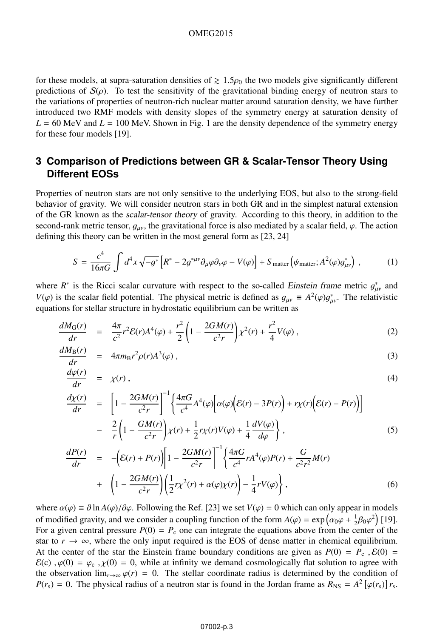#### OMEG2015

for these models, at supra-saturation densities of  $\geq 1.5\rho_0$  the two models give significantly different predictions of  $S(\rho)$ . To test the sensitivity of the gravitational binding energy of neutron stars to predictions of  $S(\rho)$ . To test the sensitivity of the gravitational binding energy of neutron stars to the variations of properties of neutron-rich nuclear matter around saturation density, we have further introduced two RMF models with density slopes of the symmetry energy at saturation density of  $L = 60$  MeV and  $L = 100$  MeV. Shown in Fig. 1 are the density dependence of the symmetry energy for these four models [19].

### **3 Comparison of Predictions between GR & Scalar-Tensor Theory Using Different EOSs**

Properties of neutron stars are not only sensitive to the underlying EOS, but also to the strong-field behavior of gravity. We will consider neutron stars in both GR and in the simplest natural extension of the GR known as the scalar-tensor theory of gravity. According to this theory, in addition to the second-rank metric tensor,  $q_{\mu\nu}$ , the gravitational force is also mediated by a scalar field,  $\varphi$ . The action defining this theory can be written in the most general form as [23, 24]

$$
S = \frac{c^4}{16\pi G} \int d^4x \sqrt{-g^*} \left[ R^* - 2g^{*\mu\nu} \partial_\mu \varphi \partial_\nu \varphi - V(\varphi) \right] + S_{\text{matter}} \left( \psi_{\text{matter}}; A^2(\varphi) g^*_{\mu\nu} \right) , \tag{1}
$$

where  $R^*$  is the Ricci scalar curvature with respect to the so-called *Einstein frame* metric  $g_{\mu\nu}^*$  and  $V(\alpha)$  is the scalar field potential. The physical metric is defined as  $g_{\mu} = A^2(\alpha)g^*$ . The relativistic *V*( $\varphi$ ) is the scalar field potential. The physical metric is defined as  $g_{\mu\nu} \equiv A^2(\varphi)g_{\mu\nu}^*$ . The relativistic equations for stellar structure in bydrostatic equilibrium can be written as equations for stellar structure in hydrostatic equilibrium can be written as

$$
\frac{dM_G(r)}{dr} = \frac{4\pi}{c^2}r^2\mathcal{E}(r)A^4(\varphi) + \frac{r^2}{2}\left(1 - \frac{2GM(r)}{c^2r}\right)\chi^2(r) + \frac{r^2}{4}V(\varphi) ,\qquad (2)
$$

$$
\frac{dM_{\rm B}(r)}{dr} = 4\pi m_{\rm B}r^2 \rho(r)A^3(\varphi) \,, \tag{3}
$$

$$
\frac{d\varphi(r)}{dr} = \chi(r) \,,\tag{4}
$$

$$
\frac{d\chi(r)}{dr} = \left[1 - \frac{2GM(r)}{c^2r}\right]^{-1} \left\{\frac{4\pi G}{c^4}A^4(\varphi)\left[\alpha(\varphi)\left(\mathcal{E}(r) - 3P(r)\right) + r\chi(r)\left(\mathcal{E}(r) - P(r)\right)\right]\right\}
$$

$$
- \frac{2}{r}\left(1 - \frac{GM(r)}{c^2r}\right)\chi(r) + \frac{1}{2}r\chi(r)V(\varphi) + \frac{1}{4}\frac{dV(\varphi)}{d\varphi}\right\},\tag{5}
$$

$$
\frac{dP(r)}{dr} = -\left(\mathcal{E}(r) + P(r)\right) \left[1 - \frac{2GM(r)}{c^2r}\right]^{-1} \left\{\frac{4\pi G}{c^4} r A^4(\varphi) P(r) + \frac{G}{c^2r^2} M(r) + \left(1 - \frac{2GM(r)}{c^2r}\right) \left(\frac{1}{2} r \chi^2(r) + \alpha(\varphi)\chi(r)\right) - \frac{1}{4} r V(\varphi)\right\},
$$
\n(6)

where  $\alpha(\varphi) \equiv \partial \ln A(\varphi) / \partial \varphi$ . Following the Ref. [23] we set  $V(\varphi) = 0$  which can only appear in models of modified gravity, and we consider a coupling function of the form  $A(\varphi) = \exp(\alpha_0 \varphi + \frac{1}{2} \beta_0 \varphi^2)$  [19].<br>For a given central pressure  $P(0) = P$  one can integrate the equations above from the center of the For a given central pressure  $P(0) = P_c$  one can integrate the equations above from the center of the star to  $r \to \infty$ , where the only input required is the EOS of dense matter in chemical equilibrium. At the center of the star the Einstein frame boundary conditions are given as  $P(0) = P_c$ ,  $\mathcal{E}(0) =$  $\mathcal{E}(c)$ ,  $\varphi(0) = \varphi_c$ ,  $\chi(0) = 0$ , while at infinity we demand cosmologically flat solution to agree with the observation  $\lim_{r\to\infty} \varphi(r) = 0$ . The stellar coordinate radius is determined by the condition of  $P(r_s) = 0$ . The physical radius of a neutron star is found in the Jordan frame as  $R_{\text{NS}} = A^2 [\varphi(r_s)] r_s$ .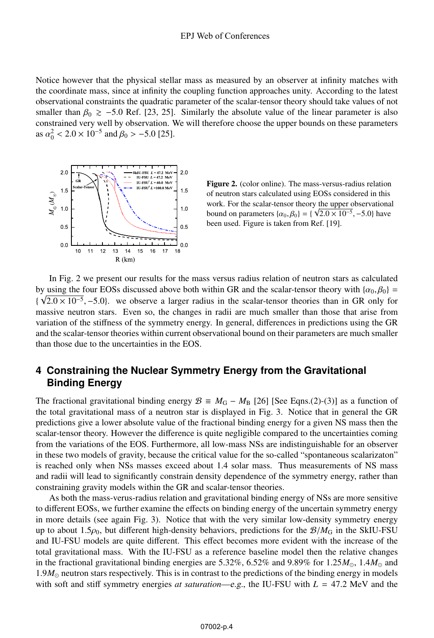Notice however that the physical stellar mass as measured by an observer at infinity matches with the coordinate mass, since at infinity the coupling function approaches unity. According to the latest observational constraints the quadratic parameter of the scalar-tensor theory should take values of not smaller than  $\beta_0 \ge -5.0$  Ref. [23, 25]. Similarly the absolute value of the linear parameter is also constrained very well by observation. We will therefore choose the upper bounds on these parameters constrained very well by observation. We will therefore choose the upper bounds on these parameters as  $\alpha_0^2 < 2.0 \times 10^{-5}$  and  $\beta_0 > -5.0$  [25].



Figure 2. (color online). The mass-versus-radius relation of neutron stars calculated using EOSs considered in this work. For the scalar-tensor theory the upper observational bound on parameters  $\{\alpha_0, \beta_0\} = \{\sqrt{2.0 \times 10^{-5}}, -5.0\}$  have been used. Figure is taken from Ref. [19].

In Fig. 2 we present our results for the mass versus radius relation of neutron stars as calculated by using the four EOSs discussed above both within GR and the scalar-tensor theory with  $\{\alpha_0, \beta_0\} =$  $\{\sqrt{2.0 \times 10^{-5}}, -5.0\}$ . we observe a larger radius in the scalar-tensor theories than in GR only for massive neutron stars. Even so, the changes in radii are much smaller than those that arise from massive neutron stars. Even so, the changes in radii are much smaller than those that arise from variation of the stiffness of the symmetry energy. In general, differences in predictions using the GR and the scalar-tensor theories within current observational bound on their parameters are much smaller than those due to the uncertainties in the EOS.

### **4 Constraining the Nuclear Symmetry Energy from the Gravitational Binding Energy**

The fractional gravitational binding energy  $\mathcal{B} \equiv M_G - M_B$  [26] [See Eqns.(2)-(3)] as a function of the total gravitational mass of a neutron star is displayed in Fig. 3. Notice that in general the GR predictions give a lower absolute value of the fractional binding energy for a given NS mass then the scalar-tensor theory. However the difference is quite negligible compared to the uncertainties coming from the variations of the EOS. Furthermore, all low-mass NSs are indistinguishable for an observer in these two models of gravity, because the critical value for the so-called "spontaneous scalarizaton" is reached only when NSs masses exceed about 1.4 solar mass. Thus measurements of NS mass and radii will lead to significantly constrain density dependence of the symmetry energy, rather than constraining gravity models within the GR and scalar-tensor theories.

As both the mass-verus-radius relation and gravitational binding energy of NSs are more sensitive to different EOSs, we further examine the effects on binding energy of the uncertain symmetry energy in more details (see again Fig. 3). Notice that with the very similar low-density symmetry energy up to about 1.5 $\rho_0$ , but different high-density behaviors, predictions for the  $\mathcal{B}/M_\text{G}$  in the SkIU-FSU and IU-FSU models are quite different. This effect becomes more evident with the increase of the total gravitational mass. With the IU-FSU as a reference baseline model then the relative changes in the fractional gravitational binding energies are 5.32%, 6.52% and 9.89% for 1.25 $M_{\odot}$ , 1.4 $M_{\odot}$  and  $1.9M_{\odot}$  neutron stars respectively. This is in contrast to the predictions of the binding energy in models with soft and stiff symmetry energies *at saturation—e.g.*, the IU-FSU with  $L = 47.2$  MeV and the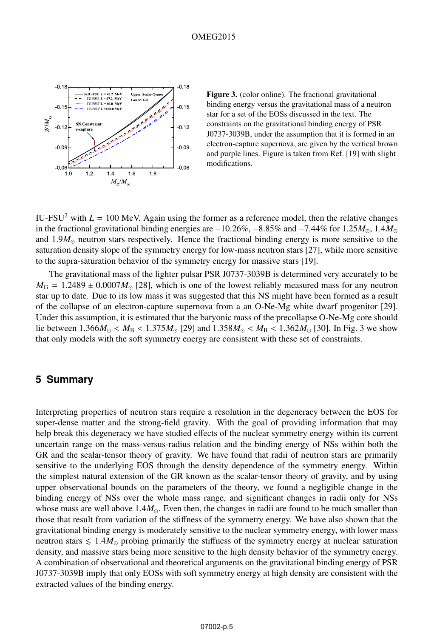

Figure 3. (color online). The fractional gravitational binding energy versus the gravitational mass of a neutron star for a set of the EOSs discussed in the text. The constraints on the gravitational binding energy of PSR J0737-3039B, under the assumption that it is formed in an electron-capture supernova, are given by the vertical brown and purple lines. Figure is taken from Ref. [19] with slight modifications.

IU-FSU<sup>2</sup> with  $L = 100$  MeV. Again using the former as a reference model, then the relative changes in the fractional gravitational binding energies are <sup>−</sup>10.26%, <sup>−</sup>8.85% and <sup>−</sup>7.44% for 1.25*M*, 1.4*M* and  $1.9M_{\odot}$  neutron stars respectively. Hence the fractional binding energy is more sensitive to the saturation density slope of the symmetry energy for low-mass neutron stars [27], while more sensitive to the supra-saturation behavior of the symmetry energy for massive stars [19].

The gravitational mass of the lighter pulsar PSR J0737-3039B is determined very accurately to be  $M_{\rm G}$  = 1.2489  $\pm$  0.0007 $M_{\odot}$  [28], which is one of the lowest reliably measured mass for any neutron star up to date. Due to its low mass it was suggested that this NS might have been formed as a result of the collapse of an electron-capture supernova from a an O-Ne-Mg white dwarf progenitor [29]. Under this assumption, it is estimated that the baryonic mass of the precollapse O-Ne-Mg core should lie between  $1.366M_{\odot} < M_{\rm B} < 1.375M_{\odot}$  [29] and  $1.358M_{\odot} < M_{\rm B} < 1.362M_{\odot}$  [30]. In Fig. 3 we show that only models with the soft symmetry energy are consistent with these set of constraints.

#### **5 Summary**

Interpreting properties of neutron stars require a resolution in the degeneracy between the EOS for super-dense matter and the strong-field gravity. With the goal of providing information that may help break this degeneracy we have studied effects of the nuclear symmetry energy within its current uncertain range on the mass-versus-radius relation and the binding energy of NSs within both the GR and the scalar-tensor theory of gravity. We have found that radii of neutron stars are primarily sensitive to the underlying EOS through the density dependence of the symmetry energy. Within the simplest natural extension of the GR known as the scalar-tensor theory of gravity, and by using upper observational bounds on the parameters of the theory, we found a negligible change in the binding energy of NSs over the whole mass range, and significant changes in radii only for NSs whose mass are well above  $1.4M_{\odot}$ . Even then, the changes in radii are found to be much smaller than those that result from variation of the stiffness of the symmetry energy. We have also shown that the gravitational binding energy is moderately sensitive to the nuclear symmetry energy, with lower mass neutron stars  $\leq 1.4M_{\odot}$  probing primarily the stiffness of the symmetry energy at nuclear saturation density, and massive stars being more sensitive to the high density behavior of the symmetry energy. A combination of observational and theoretical arguments on the gravitational binding energy of PSR J0737-3039B imply that only EOSs with soft symmetry energy at high density are consistent with the extracted values of the binding energy.